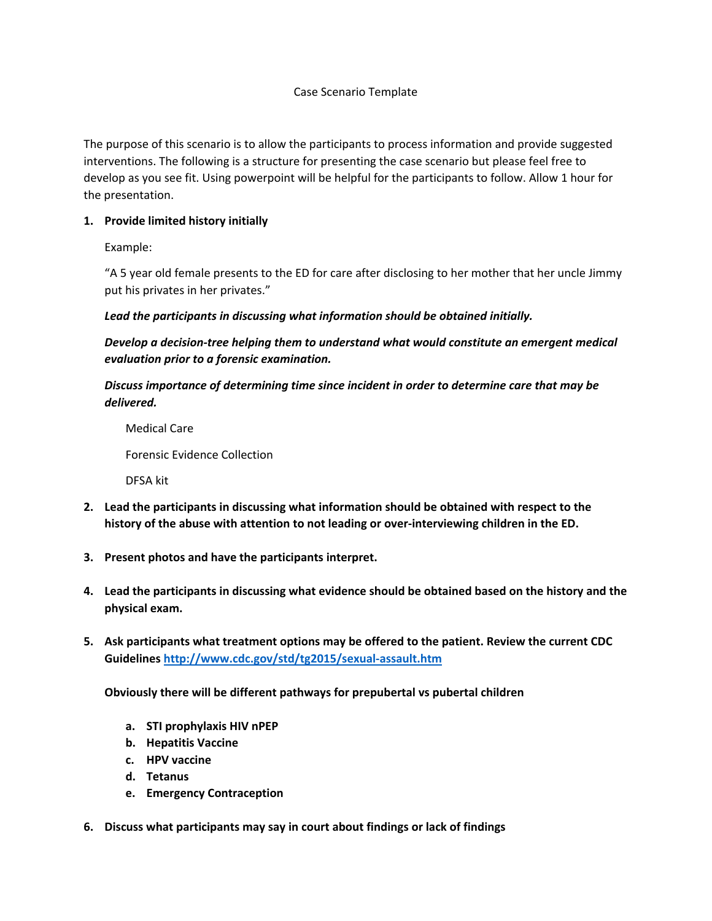## Case Scenario Template

The purpose of this scenario is to allow the participants to process information and provide suggested interventions. The following is a structure for presenting the case scenario but please feel free to develop as you see fit. Using powerpoint will be helpful for the participants to follow. Allow 1 hour for the presentation.

## **1. Provide limited history initially**

Example:

"A 5 year old female presents to the ED for care after disclosing to her mother that her uncle Jimmy put his privates in her privates."

*Lead the participants in discussing what information should be obtained initially.*

*Develop a decision-tree helping them to understand what would constitute an emergent medical evaluation prior to a forensic examination.*

*Discuss importance of determining time since incident in order to determine care that may be delivered.*

Medical Care Forensic Evidence Collection DFSA kit

- **2. Lead the participants in discussing what information should be obtained with respect to the history of the abuse with attention to not leading or over-interviewing children in the ED.**
- **3. Present photos and have the participants interpret.**
- **4. Lead the participants in discussing what evidence should be obtained based on the history and the physical exam.**
- **5. Ask participants what treatment options may be offered to the patient. Review the current CDC Guidelines <http://www.cdc.gov/std/tg2015/sexual-assault.htm>**

**Obviously there will be different pathways for prepubertal vs pubertal children**

- **a. STI prophylaxis HIV nPEP**
- **b. Hepatitis Vaccine**
- **c. HPV vaccine**
- **d. Tetanus**
- **e. Emergency Contraception**
- **6. Discuss what participants may say in court about findings or lack of findings**